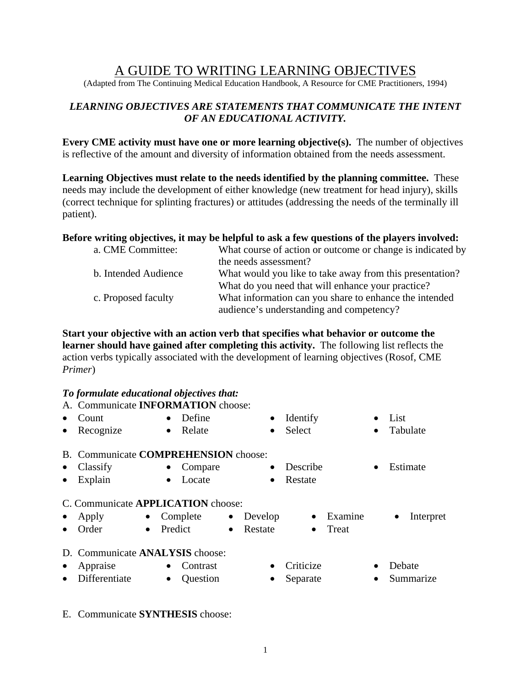# A GUIDE TO WRITING LEARNING OBJECTIVES

(Adapted from The Continuing Medical Education Handbook, A Resource for CME Practitioners, 1994)

## *LEARNING OBJECTIVES ARE STATEMENTS THAT COMMUNICATE THE INTENT OF AN EDUCATIONAL ACTIVITY.*

**Every CME activity must have one or more learning objective(s).** The number of objectives is reflective of the amount and diversity of information obtained from the needs assessment.

**Learning Objectives must relate to the needs identified by the planning committee.** These needs may include the development of either knowledge (new treatment for head injury), skills (correct technique for splinting fractures) or attitudes (addressing the needs of the terminally ill patient).

### **Before writing objectives, it may be helpful to ask a few questions of the players involved:**

| a. CME Committee:    |                       |                                                   | What course of action or outcome or change is indicated by |
|----------------------|-----------------------|---------------------------------------------------|------------------------------------------------------------|
|                      | the needs assessment? |                                                   |                                                            |
| b. Intended Audience |                       |                                                   | What would you like to take away from this presentation?   |
|                      |                       | What do you need that will enhance your practice? |                                                            |
| c. Proposed faculty  |                       |                                                   | What information can you share to enhance the intended     |
|                      |                       | audience's understanding and competency?          |                                                            |

**Start your objective with an action verb that specifies what behavior or outcome the learner should have gained after completing this activity.** The following list reflects the action verbs typically associated with the development of learning objectives (Rosof, CME *Primer*)

### *To formulate educational objectives that:*

|           | A. Communicate <b>INFORMATION</b> choose:   |           |            |           |           |           |         |           |                        |
|-----------|---------------------------------------------|-----------|------------|-----------|-----------|-----------|---------|-----------|------------------------|
|           | Count                                       | $\bullet$ | Define     |           | $\bullet$ | Identify  |         |           | List                   |
| $\bullet$ | Recognize                                   | $\bullet$ | Relate     |           | $\bullet$ | Select    |         | $\bullet$ | Tabulate               |
|           | B. Communicate <b>COMPREHENSION</b> choose: |           |            |           |           |           |         |           |                        |
| $\bullet$ | Classify                                    | $\bullet$ | Compare    |           | $\bullet$ | Describe  |         | $\bullet$ | Estimate               |
| $\bullet$ | Explain                                     | $\bullet$ | Locate     |           | $\bullet$ | Restate   |         |           |                        |
|           | C. Communicate <b>APPLICATION</b> choose:   |           |            |           |           |           |         |           |                        |
| $\bullet$ | Apply                                       |           | • Complete | $\bullet$ | Develop   | $\bullet$ | Examine |           | Interpret<br>$\bullet$ |
|           | Order<br>$\bullet$                          | Predict   |            | $\bullet$ | Restate   | $\bullet$ | Treat   |           |                        |
|           | D. Communicate ANALYSIS choose:             |           |            |           |           |           |         |           |                        |
| $\bullet$ | Appraise                                    | $\bullet$ | Contrast   |           |           | Criticize |         |           | Debate                 |

- 
- 
- Differentiate Question Separate Summarize
- E. Communicate **SYNTHESIS** choose: